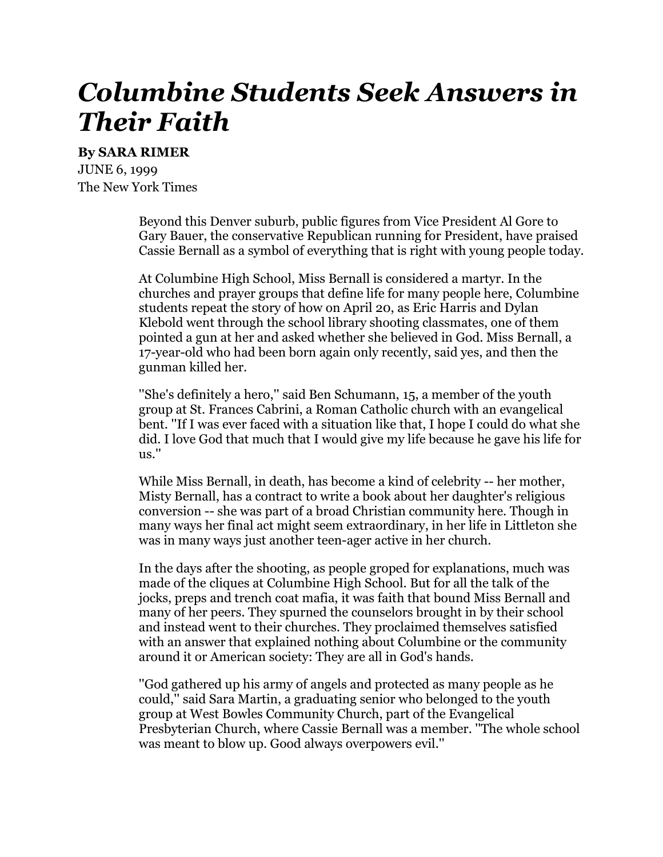## *Columbine Students Seek Answers in Their Faith*

## **By [SARA RIMER](https://www.nytimes.com/by/sara-rimer)**

JUNE 6, 1999 The New York Times

> Beyond this Denver suburb, public figures from Vice President Al Gore to Gary Bauer, the conservative Republican running for President, have praised Cassie Bernall as a symbol of everything that is right with young people today.

> At Columbine High School, Miss Bernall is considered a martyr. In the churches and prayer groups that define life for many people here, Columbine students repeat the story of how on April 20, as Eric Harris and Dylan Klebold went through the school library shooting classmates, one of them pointed a gun at her and asked whether she believed in God. Miss Bernall, a 17-year-old who had been born again only recently, said yes, and then the gunman killed her.

> ''She's definitely a hero,'' said Ben Schumann, 15, a member of the youth group at St. Frances Cabrini, a Roman Catholic church with an evangelical bent. ''If I was ever faced with a situation like that, I hope I could do what she did. I love God that much that I would give my life because he gave his life for us.''

While Miss Bernall, in death, has become a kind of celebrity -- her mother, Misty Bernall, has a contract to write a book about her daughter's religious conversion -- she was part of a broad Christian community here. Though in many ways her final act might seem extraordinary, in her life in Littleton she was in many ways just another teen-ager active in her church.

In the days after the shooting, as people groped for explanations, much was made of the cliques at Columbine High School. But for all the talk of the jocks, preps and trench coat mafia, it was faith that bound Miss Bernall and many of her peers. They spurned the counselors brought in by their school and instead went to their churches. They proclaimed themselves satisfied with an answer that explained nothing about Columbine or the community around it or American society: They are all in God's hands.

''God gathered up his army of angels and protected as many people as he could,'' said Sara Martin, a graduating senior who belonged to the youth group at West Bowles Community Church, part of the Evangelical Presbyterian Church, where Cassie Bernall was a member. ''The whole school was meant to blow up. Good always overpowers evil.''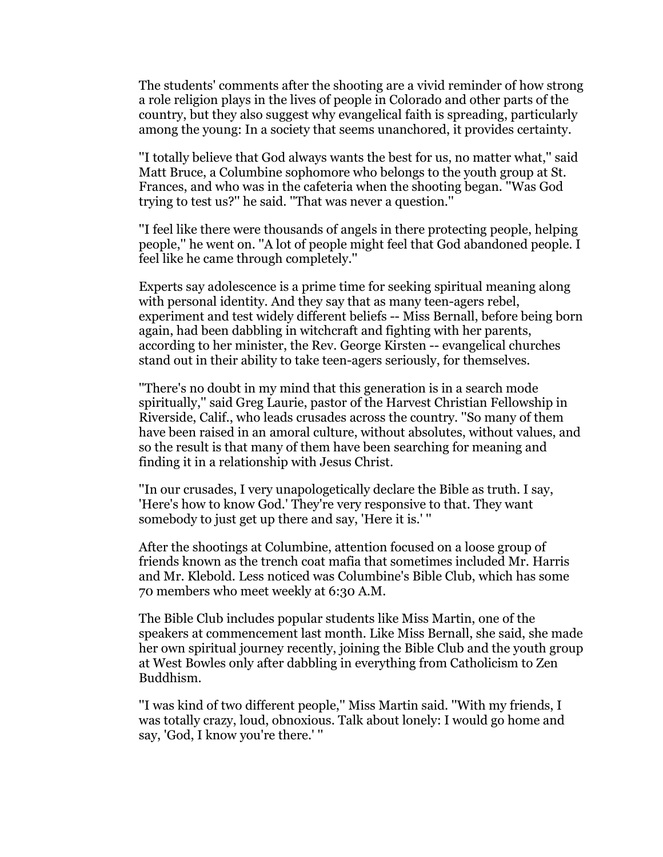The students' comments after the shooting are a vivid reminder of how strong a role religion plays in the lives of people in Colorado and other parts of the country, but they also suggest why evangelical faith is spreading, particularly among the young: In a society that seems unanchored, it provides certainty.

''I totally believe that God always wants the best for us, no matter what,'' said Matt Bruce, a Columbine sophomore who belongs to the youth group at St. Frances, and who was in the cafeteria when the shooting began. ''Was God trying to test us?'' he said. ''That was never a question.''

''I feel like there were thousands of angels in there protecting people, helping people,'' he went on. ''A lot of people might feel that God abandoned people. I feel like he came through completely.''

Experts say adolescence is a prime time for seeking spiritual meaning along with personal identity. And they say that as many teen-agers rebel, experiment and test widely different beliefs -- Miss Bernall, before being born again, had been dabbling in witchcraft and fighting with her parents, according to her minister, the Rev. George Kirsten -- evangelical churches stand out in their ability to take teen-agers seriously, for themselves.

''There's no doubt in my mind that this generation is in a search mode spiritually,'' said Greg Laurie, pastor of the Harvest Christian Fellowship in Riverside, Calif., who leads crusades across the country. ''So many of them have been raised in an amoral culture, without absolutes, without values, and so the result is that many of them have been searching for meaning and finding it in a relationship with Jesus Christ.

''In our crusades, I very unapologetically declare the Bible as truth. I say, 'Here's how to know God.' They're very responsive to that. They want somebody to just get up there and say, 'Here it is.' ''

After the shootings at Columbine, attention focused on a loose group of friends known as the trench coat mafia that sometimes included Mr. Harris and Mr. Klebold. Less noticed was Columbine's Bible Club, which has some 70 members who meet weekly at 6:30 A.M.

The Bible Club includes popular students like Miss Martin, one of the speakers at commencement last month. Like Miss Bernall, she said, she made her own spiritual journey recently, joining the Bible Club and the youth group at West Bowles only after dabbling in everything from Catholicism to Zen Buddhism.

''I was kind of two different people,'' Miss Martin said. ''With my friends, I was totally crazy, loud, obnoxious. Talk about lonely: I would go home and say, 'God, I know you're there.' ''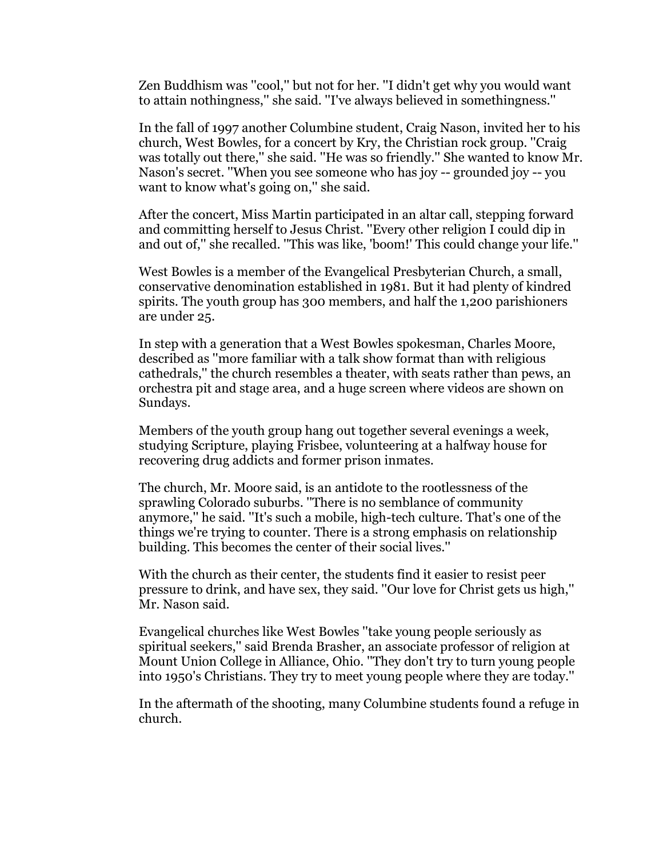Zen Buddhism was ''cool,'' but not for her. ''I didn't get why you would want to attain nothingness,'' she said. ''I've always believed in somethingness.''

In the fall of 1997 another Columbine student, Craig Nason, invited her to his church, West Bowles, for a concert by Kry, the Christian rock group. ''Craig was totally out there,'' she said. ''He was so friendly.'' She wanted to know Mr. Nason's secret. ''When you see someone who has joy -- grounded joy -- you want to know what's going on," she said.

After the concert, Miss Martin participated in an altar call, stepping forward and committing herself to Jesus Christ. ''Every other religion I could dip in and out of,'' she recalled. ''This was like, 'boom!' This could change your life.''

West Bowles is a member of the Evangelical Presbyterian Church, a small, conservative denomination established in 1981. But it had plenty of kindred spirits. The youth group has 300 members, and half the 1,200 parishioners are under 25.

In step with a generation that a West Bowles spokesman, Charles Moore, described as ''more familiar with a talk show format than with religious cathedrals,'' the church resembles a theater, with seats rather than pews, an orchestra pit and stage area, and a huge screen where videos are shown on Sundays.

Members of the youth group hang out together several evenings a week, studying Scripture, playing Frisbee, volunteering at a halfway house for recovering drug addicts and former prison inmates.

The church, Mr. Moore said, is an antidote to the rootlessness of the sprawling Colorado suburbs. ''There is no semblance of community anymore,'' he said. ''It's such a mobile, high-tech culture. That's one of the things we're trying to counter. There is a strong emphasis on relationship building. This becomes the center of their social lives.''

With the church as their center, the students find it easier to resist peer pressure to drink, and have sex, they said. ''Our love for Christ gets us high,'' Mr. Nason said.

Evangelical churches like West Bowles ''take young people seriously as spiritual seekers,'' said Brenda Brasher, an associate professor of religion at Mount Union College in Alliance, Ohio. ''They don't try to turn young people into 1950's Christians. They try to meet young people where they are today.''

In the aftermath of the shooting, many Columbine students found a refuge in church.